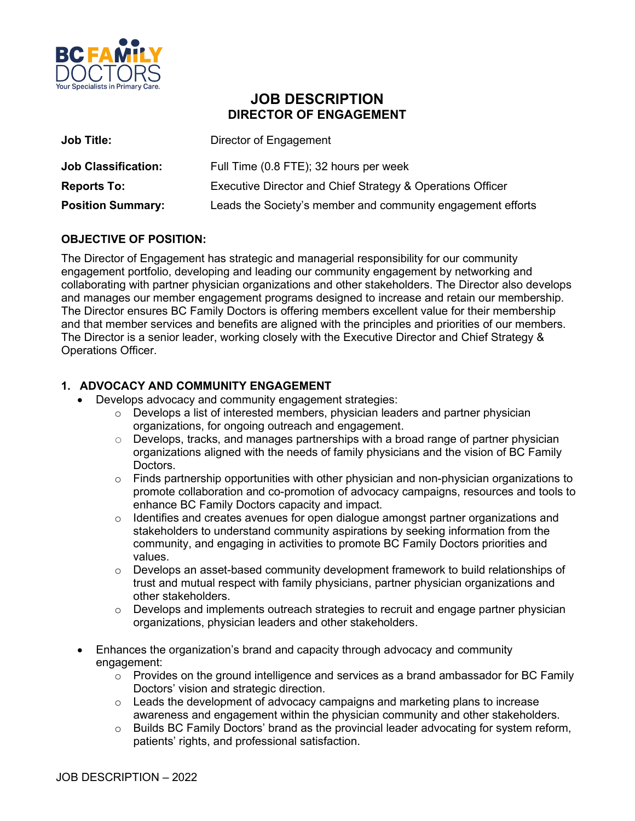

# **JOB DESCRIPTION DIRECTOR OF ENGAGEMENT**

| <b>Job Title:</b>          | Director of Engagement                                      |
|----------------------------|-------------------------------------------------------------|
| <b>Job Classification:</b> | Full Time (0.8 FTE); 32 hours per week                      |
| <b>Reports To:</b>         | Executive Director and Chief Strategy & Operations Officer  |
| <b>Position Summary:</b>   | Leads the Society's member and community engagement efforts |

## **OBJECTIVE OF POSITION:**

The Director of Engagement has strategic and managerial responsibility for our community engagement portfolio, developing and leading our community engagement by networking and collaborating with partner physician organizations and other stakeholders. The Director also develops and manages our member engagement programs designed to increase and retain our membership. The Director ensures BC Family Doctors is offering members excellent value for their membership and that member services and benefits are aligned with the principles and priorities of our members. The Director is a senior leader, working closely with the Executive Director and Chief Strategy & Operations Officer.

## **1. ADVOCACY AND COMMUNITY ENGAGEMENT**

- Develops advocacy and community engagement strategies:
	- o Develops a list of interested members, physician leaders and partner physician organizations, for ongoing outreach and engagement.
	- o Develops, tracks, and manages partnerships with a broad range of partner physician organizations aligned with the needs of family physicians and the vision of BC Family Doctors.
	- $\circ$  Finds partnership opportunities with other physician and non-physician organizations to promote collaboration and co-promotion of advocacy campaigns, resources and tools to enhance BC Family Doctors capacity and impact.
	- o Identifies and creates avenues for open dialogue amongst partner organizations and stakeholders to understand community aspirations by seeking information from the community, and engaging in activities to promote BC Family Doctors priorities and values.
	- o Develops an asset-based community development framework to build relationships of trust and mutual respect with family physicians, partner physician organizations and other stakeholders.
	- $\circ$  Develops and implements outreach strategies to recruit and engage partner physician organizations, physician leaders and other stakeholders.
- Enhances the organization's brand and capacity through advocacy and community engagement:
	- $\circ$  Provides on the ground intelligence and services as a brand ambassador for BC Family Doctors' vision and strategic direction.
	- o Leads the development of advocacy campaigns and marketing plans to increase awareness and engagement within the physician community and other stakeholders.
	- $\circ$  Builds BC Family Doctors' brand as the provincial leader advocating for system reform, patients' rights, and professional satisfaction.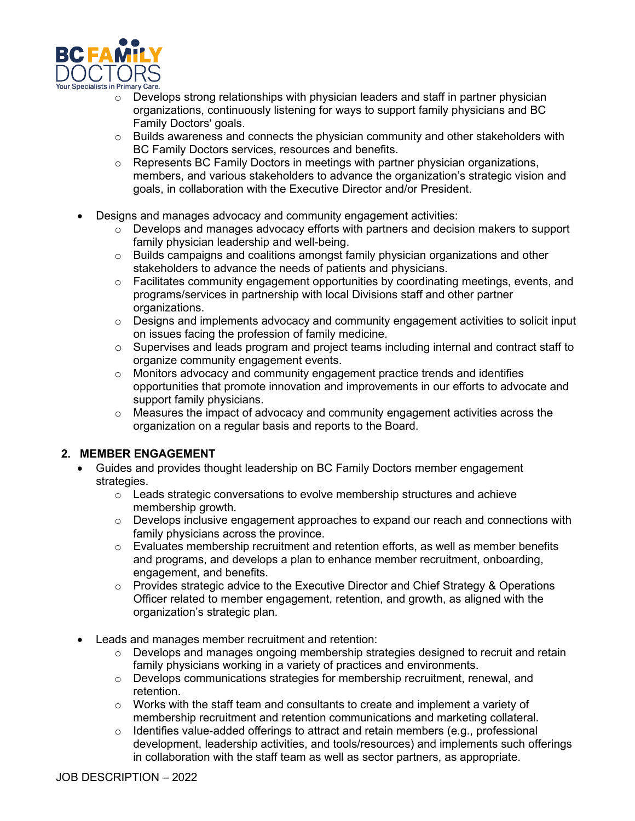

- o Develops strong relationships with physician leaders and staff in partner physician organizations, continuously listening for ways to support family physicians and BC Family Doctors' goals.
- $\circ$  Builds awareness and connects the physician community and other stakeholders with BC Family Doctors services, resources and benefits.
- $\circ$  Represents BC Family Doctors in meetings with partner physician organizations, members, and various stakeholders to advance the organization's strategic vision and goals, in collaboration with the Executive Director and/or President.
- Designs and manages advocacy and community engagement activities:
	- $\circ$  Develops and manages advocacy efforts with partners and decision makers to support family physician leadership and well-being.
	- o Builds campaigns and coalitions amongst family physician organizations and other stakeholders to advance the needs of patients and physicians.
	- $\circ$  Facilitates community engagement opportunities by coordinating meetings, events, and programs/services in partnership with local Divisions staff and other partner organizations.
	- $\circ$  Designs and implements advocacy and community engagement activities to solicit input on issues facing the profession of family medicine.
	- $\circ$  Supervises and leads program and project teams including internal and contract staff to organize community engagement events.
	- $\circ$  Monitors advocacy and community engagement practice trends and identifies opportunities that promote innovation and improvements in our efforts to advocate and support family physicians.
	- o Measures the impact of advocacy and community engagement activities across the organization on a regular basis and reports to the Board.

### **2. MEMBER ENGAGEMENT**

- Guides and provides thought leadership on BC Family Doctors member engagement strategies.
	- $\circ$  Leads strategic conversations to evolve membership structures and achieve membership growth.
	- $\circ$  Develops inclusive engagement approaches to expand our reach and connections with family physicians across the province.
	- $\circ$  Evaluates membership recruitment and retention efforts, as well as member benefits and programs, and develops a plan to enhance member recruitment, onboarding, engagement, and benefits.
	- $\circ$  Provides strategic advice to the Executive Director and Chief Strategy & Operations Officer related to member engagement, retention, and growth, as aligned with the organization's strategic plan.
- Leads and manages member recruitment and retention:
	- $\circ$  Develops and manages ongoing membership strategies designed to recruit and retain family physicians working in a variety of practices and environments.
	- $\circ$  Develops communications strategies for membership recruitment, renewal, and retention.
	- $\circ$  Works with the staff team and consultants to create and implement a variety of membership recruitment and retention communications and marketing collateral.
	- $\circ$  Identifies value-added offerings to attract and retain members (e.g., professional development, leadership activities, and tools/resources) and implements such offerings in collaboration with the staff team as well as sector partners, as appropriate.